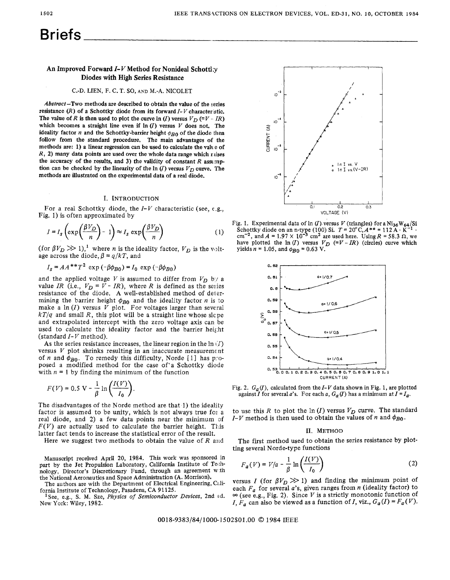# **Briefs**

## **An Improved Forward** *I-Y* **Method for Nonideal Schottky Diodes** with **High Series Resistance**

#### C.-D. LIEN, F. C.T. SO, **AND M.-A.** NICOLET

Abstract-Two methods are described to obtain the value of the series resistance  $(R)$  of a Schottky diode from its forward  $I-V$  character stic. The value of *R* is then used to plot the curve  $\ln (I)$  versus  $V_D$  (=V  $\ldots$  *IR)* which becomes a straight line even if  $\ln(I)$  versus *V* does not. The ideality factor  $n$  and the Schottky-barrier height  $\phi_{B0}$  of the diode then follow from the standard procedure. The **main** advantages **of** the methods are: 1) a linear regression can be used to calculate the value of  $R$ , 2) many data points are used over the whole data range which ruises the accuracy of the results, and **3)** the validity of constant *R* assumption can be checked by the linearity of the  $\ln(I)$  versus  $V_D$  curve. The methods are illustrated **on** the experimental data of a real diode.

#### **I.** INTRODUCTION

For a real Schottky diode, the *I-V* characteristic (see, e.g., Fig. 1) is often approximated by

$$
I = I_s \left( \exp\left(\frac{\beta V_D}{n}\right) - 1 \right) \approx I_s \exp\left(\frac{\beta V_D}{n}\right) \tag{1}
$$

(for  $\beta V_D \gg 1$ ),<sup>1</sup> where *n* is the ideality factor,  $V_D$  is the voltage across the diode,  $\beta = q/kT$ , and

## $I_s = AA^{**}T^2 \exp(-\beta\phi_{B0}) = I_0 \exp(-\beta\phi_{B0})$

and the applied voltage *V* is assumed to differ from  $V_D$  b:*r* a value *IR* (i.e.,  $V_D = V - IR$ ), where *R* is defined as the series resistance of the diode. A well-established method of determining the barrier height  $\phi_{B0}$  and the ideality factor *n* is to make a  $\ln(I)$  versus *V* plot. For voltages larger than several *kT/q* and small *R,* this plot will be a straight line whose slcpe and extrapolated intercept with the zero voltage axis can be used to calculate the ideality factor and the barrier heig;ht (standard *I- V* method).

As the series resistance increases, the linear region in the  $\ln (I)$ versus *V* plot shrinks resulting in an inaccurate measuremcnt of *n* and  $\phi_{B0}$ . To remedy this difficulty, Norde [1] has proposed a modified method for the case of'a Schottky diode with  $n = 1$  by finding the minimum of the function

$$
F(V) = 0.5 \text{ V} - \frac{1}{\beta} \ln \left( \frac{I(V)}{I_0} \right).
$$

The disadvantages of the Norde method are that 1) the ideality factor is assumed to be unity, which is not always true for a real diode, and *2)* a few data points near the minimum af  $F(V)$  are actually used to calculate the barrier height. This latter fact tends to increase the statistical error of the result.

Here we suggest two methods to obtain the value of *R* and

Manuscript received April 20, 1984. This **work** was sponsored in part by the Jet Propulsion Laboratory, California Institute of Technology, Director's Discretionary Fund, through an agreement w.th the National Aeronautics and Space Administration (A. Morrison).

The authors are with the Department of Electrical Engineering, Cilifornia Institute of Technology, Pasadena, CA 91125.

New **York:** Wiley, 1982. 'See, e.g., S. M. Sze, *Physics* of *Semiconductor Devices,* 2nd **c:d.** 



Fig. 1. Experimental data of  $\ln(I)$  versus V (triangles) for a  $\text{Ni}_{36}\text{W}_{64}/\text{Si}$ Schottky diode on an n-type (100) Si.  $T = 20^{\circ}C$ ,  $A^{**} = 112 \tilde{A} \cdot \tilde{K}^{-1} \cdot$ <br>cm<sup>-2</sup>, and  $A = 1.97 \times 10^{-3}$  cm<sup>2</sup> are used here. Using  $R = 58.3 \Omega$ , we have plotted the ln (*I*) versus  $V_D$  (=*V - IR*) (circles) curve yields  $n = 1.05$ , and  $\phi_{B0} = 0.63$  V.



Fig. 2.  $G_a(I)$ , calculated from the  $I-V$  data shown in Fig. 1, are plotted against *I* for several *a*'s. For each *a*,  $G_a(I)$  has a minimum at  $I = I_a$ .

to use this *R* to plot the  $\ln(I)$  versus  $V_D$  curve. The standard *I-V* method is then used to obtain the values of *n* and  $\phi_{B0}$ .

#### 11. METHOD

The first method used to obtain the series resistance by plotting several Norde-type functions

$$
F_a(V) = V/a - \frac{1}{\beta} \ln \left( \frac{I(V)}{I_0} \right) \tag{2}
$$

versus *I* (for  $\beta V_D \gg 1$ ) and finding the minimum point of each  $F_a$  for several *a*'s, given ranges from *n* (ideality factor) to  $\infty$  (see e.g., Fig. 2). Since *V* is a strictly monotonic function of *I,*  $F_a$  *can also be viewed as a function of <i>I, viz.,*  $G_a(I) = F_a(V)$ .

0018-9383/84/1000-1502\$01.00 © 1984 IEEE